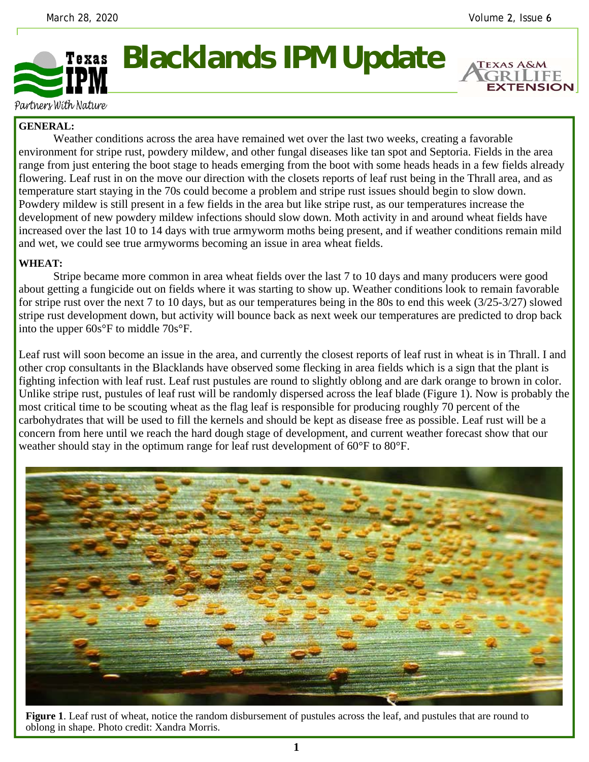**EXTENSION** 

## **Blacklands IPM Update**  Texas

Partners With Nature

## **GENERAL:**

 Weather conditions across the area have remained wet over the last two weeks, creating a favorable environment for stripe rust, powdery mildew, and other fungal diseases like tan spot and Septoria. Fields in the area range from just entering the boot stage to heads emerging from the boot with some heads heads in a few fields already flowering. Leaf rust in on the move our direction with the closets reports of leaf rust being in the Thrall area, and as temperature start staying in the 70s could become a problem and stripe rust issues should begin to slow down. Powdery mildew is still present in a few fields in the area but like stripe rust, as our temperatures increase the development of new powdery mildew infections should slow down. Moth activity in and around wheat fields have increased over the last 10 to 14 days with true armyworm moths being present, and if weather conditions remain mild and wet, we could see true armyworms becoming an issue in area wheat fields.

## **WHEAT:**

 Stripe became more common in area wheat fields over the last 7 to 10 days and many producers were good about getting a fungicide out on fields where it was starting to show up. Weather conditions look to remain favorable for stripe rust over the next 7 to 10 days, but as our temperatures being in the 80s to end this week (3/25-3/27) slowed stripe rust development down, but activity will bounce back as next week our temperatures are predicted to drop back into the upper 60s°F to middle 70s°F.

Leaf rust will soon become an issue in the area, and currently the closest reports of leaf rust in wheat is in Thrall. I and other crop consultants in the Blacklands have observed some flecking in area fields which is a sign that the plant is fighting infection with leaf rust. Leaf rust pustules are round to slightly oblong and are dark orange to brown in color. Unlike stripe rust, pustules of leaf rust will be randomly dispersed across the leaf blade (Figure 1). Now is probably the most critical time to be scouting wheat as the flag leaf is responsible for producing roughly 70 percent of the carbohydrates that will be used to fill the kernels and should be kept as disease free as possible. Leaf rust will be a concern from here until we reach the hard dough stage of development, and current weather forecast show that our weather should stay in the optimum range for leaf rust development of  $60^{\circ}$ F to  $80^{\circ}$ F.



**Figure 1**. Leaf rust of wheat, notice the random disbursement of pustules across the leaf, and pustules that are round to oblong in shape. Photo credit: Xandra Morris.